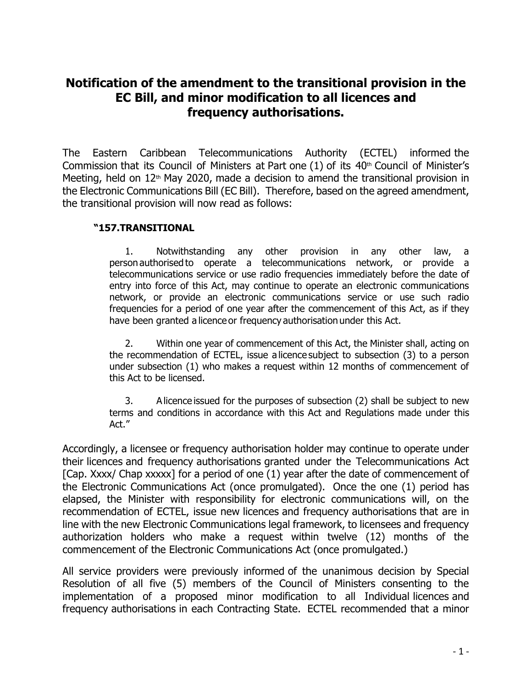## **Notification of the amendment to the transitional provision in the EC Bill, and minor modification to all licences and frequency authorisations.**

The Eastern Caribbean Telecommunications Authority (ECTEL) informed the Commission that its Council of Ministers at Part one  $(1)$  of its  $40<sup>th</sup>$  Council of Minister's Meeting, held on  $12<sup>th</sup>$  May 2020, made a decision to amend the transitional provision in the Electronic Communications Bill (EC Bill). Therefore, based on the agreed amendment, the transitional provision will now read as follows:

## **"157.TRANSITIONAL**

1. Notwithstanding any other provision in any other law, a person authorised to operate a telecommunications network, or provide a telecommunications service or use radio frequencies immediately before the date of entry into force of this Act, may continue to operate an electronic communications network, or provide an electronic communications service or use such radio frequencies for a period of one year after the commencement of this Act, as if they have been granted a licence or frequency authorisation under this Act.

2. Within one year of commencement of this Act, the Minister shall, acting on the recommendation of ECTEL, issue a licence subject to subsection (3) to a person under subsection (1) who makes a request within 12 months of commencement of this Act to be licensed. 

3. A licence issued for the purposes of subsection (2) shall be subject to new terms and conditions in accordance with this Act and Regulations made under this Act."

Accordingly, a licensee or frequency authorisation holder may continue to operate under their licences and frequency authorisations granted under the Telecommunications Act [Cap. Xxxx/ Chap xxxxx] for a period of one (1) year after the date of commencement of the Electronic Communications Act (once promulgated). Once the one (1) period has elapsed, the Minister with responsibility for electronic communications will, on the recommendation of ECTEL, issue new licences and frequency authorisations that are in line with the new Electronic Communications legal framework, to licensees and frequency authorization holders who make a request within twelve (12) months of the commencement of the Electronic Communications Act (once promulgated.)

All service providers were previously informed of the unanimous decision by Special Resolution of all five (5) members of the Council of Ministers consenting to the implementation of a proposed minor modification to all Individual licences and frequency authorisations in each Contracting State. ECTEL recommended that a minor